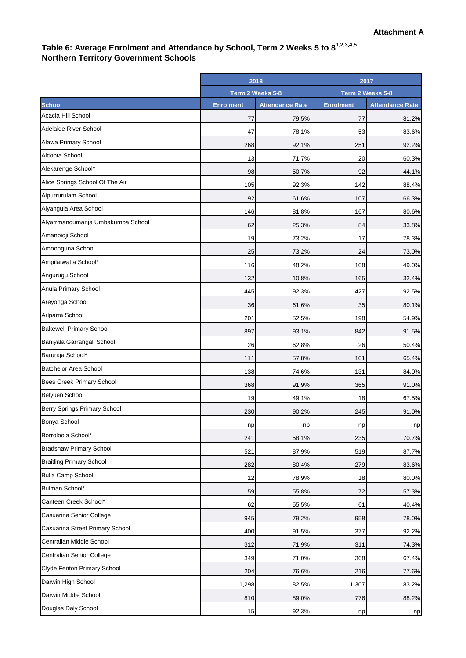## **Table 6: Average Enrolment and Attendance by School, Term 2 Weeks 5 to 81,2,3,4,5 Northern Territory Government Schools**

| Term 2 Weeks 5-8<br>Term 2 Weeks 5-8<br><b>School</b><br><b>Enrolment</b><br><b>Enrolment</b><br><b>Attendance Rate</b><br><b>Attendance Rate</b><br>Acacia Hill School<br>79.5%<br>77<br>77<br>81.2%<br>Adelaide River School<br>53<br>47<br>78.1%<br>83.6%<br>Alawa Primary School<br>268<br>92.1%<br>251<br>92.2%<br>Alcoota School<br>13<br>71.7%<br>20<br>60.3%<br>Alekarenge School*<br>98<br>50.7%<br>92<br>44.1%<br>Alice Springs School Of The Air<br>105<br>92.3%<br>142<br>88.4%<br>Alpurrurulam School<br>92<br>61.6%<br>107<br>66.3%<br>Alyangula Area School<br>81.8%<br>167<br>146<br>80.6%<br>Alyarrmandumanja Umbakumba School<br>62<br>25.3%<br>84<br>33.8%<br>Amanbidji School<br>19<br>73.2%<br>17<br>78.3%<br>Amoonguna School<br>25<br>73.2%<br>24<br>73.0%<br>Ampilatwatja School*<br>116<br>48.2%<br>108<br>49.0%<br>Angurugu School<br>132<br>10.8%<br>165<br>32.4%<br>Anula Primary School<br>445<br>92.3%<br>427<br>92.5%<br>Areyonga School<br>36<br>61.6%<br>35<br>80.1%<br>Arlparra School<br>201<br>52.5%<br>198<br>54.9%<br><b>Bakewell Primary School</b><br>897<br>93.1%<br>842<br>91.5%<br>Baniyala Garrangali School<br>26<br>62.8%<br>26<br>50.4%<br>Barunga School*<br>111<br>57.8%<br>101<br>65.4%<br><b>Batchelor Area School</b><br>138<br>74.6%<br>131<br>84.0%<br><b>Bees Creek Primary School</b><br>368<br>91.9%<br>365<br>91.0%<br>Belyuen School<br>19<br>18<br>49.1%<br>67.5%<br>Berry Springs Primary School<br>230<br>90.2%<br>245<br>91.0%<br>np<br>np<br>np<br>np<br>Borroloola School*<br>241<br>58.1%<br>235<br>70.7%<br><b>Bradshaw Primary School</b><br>521<br>87.9%<br>519<br>87.7%<br><b>Braitling Primary School</b><br>282<br>80.4%<br>279<br>83.6%<br><b>Bulla Camp School</b><br>12<br>78.9%<br>18<br>80.0%<br>Bulman School*<br>59<br>55.8%<br>72<br>57.3%<br>Canteen Creek School*<br>62<br>55.5%<br>61<br>40.4%<br>Casuarina Senior College<br>945<br>79.2%<br>958<br>78.0%<br>Casuarina Street Primary School<br>400<br>91.5%<br>377<br>92.2%<br>Centralian Middle School<br>312<br>71.9%<br>311<br>74.3%<br>Centralian Senior College<br>349<br>71.0%<br>368<br>67.4%<br>Clyde Fenton Primary School<br>204<br>76.6%<br>216<br>77.6%<br>Darwin High School<br>1,298<br>82.5%<br>1,307<br>83.2%<br>Darwin Middle School<br>810<br>88.2%<br>89.0%<br>776 |                     | 2018 |       | 2017 |    |
|----------------------------------------------------------------------------------------------------------------------------------------------------------------------------------------------------------------------------------------------------------------------------------------------------------------------------------------------------------------------------------------------------------------------------------------------------------------------------------------------------------------------------------------------------------------------------------------------------------------------------------------------------------------------------------------------------------------------------------------------------------------------------------------------------------------------------------------------------------------------------------------------------------------------------------------------------------------------------------------------------------------------------------------------------------------------------------------------------------------------------------------------------------------------------------------------------------------------------------------------------------------------------------------------------------------------------------------------------------------------------------------------------------------------------------------------------------------------------------------------------------------------------------------------------------------------------------------------------------------------------------------------------------------------------------------------------------------------------------------------------------------------------------------------------------------------------------------------------------------------------------------------------------------------------------------------------------------------------------------------------------------------------------------------------------------------------------------------------------------------------------------------------------------------------------------------------------------------------------------------------------------------------------------------------------------------------|---------------------|------|-------|------|----|
|                                                                                                                                                                                                                                                                                                                                                                                                                                                                                                                                                                                                                                                                                                                                                                                                                                                                                                                                                                                                                                                                                                                                                                                                                                                                                                                                                                                                                                                                                                                                                                                                                                                                                                                                                                                                                                                                                                                                                                                                                                                                                                                                                                                                                                                                                                                            |                     |      |       |      |    |
|                                                                                                                                                                                                                                                                                                                                                                                                                                                                                                                                                                                                                                                                                                                                                                                                                                                                                                                                                                                                                                                                                                                                                                                                                                                                                                                                                                                                                                                                                                                                                                                                                                                                                                                                                                                                                                                                                                                                                                                                                                                                                                                                                                                                                                                                                                                            |                     |      |       |      |    |
|                                                                                                                                                                                                                                                                                                                                                                                                                                                                                                                                                                                                                                                                                                                                                                                                                                                                                                                                                                                                                                                                                                                                                                                                                                                                                                                                                                                                                                                                                                                                                                                                                                                                                                                                                                                                                                                                                                                                                                                                                                                                                                                                                                                                                                                                                                                            |                     |      |       |      |    |
|                                                                                                                                                                                                                                                                                                                                                                                                                                                                                                                                                                                                                                                                                                                                                                                                                                                                                                                                                                                                                                                                                                                                                                                                                                                                                                                                                                                                                                                                                                                                                                                                                                                                                                                                                                                                                                                                                                                                                                                                                                                                                                                                                                                                                                                                                                                            |                     |      |       |      |    |
|                                                                                                                                                                                                                                                                                                                                                                                                                                                                                                                                                                                                                                                                                                                                                                                                                                                                                                                                                                                                                                                                                                                                                                                                                                                                                                                                                                                                                                                                                                                                                                                                                                                                                                                                                                                                                                                                                                                                                                                                                                                                                                                                                                                                                                                                                                                            |                     |      |       |      |    |
|                                                                                                                                                                                                                                                                                                                                                                                                                                                                                                                                                                                                                                                                                                                                                                                                                                                                                                                                                                                                                                                                                                                                                                                                                                                                                                                                                                                                                                                                                                                                                                                                                                                                                                                                                                                                                                                                                                                                                                                                                                                                                                                                                                                                                                                                                                                            |                     |      |       |      |    |
|                                                                                                                                                                                                                                                                                                                                                                                                                                                                                                                                                                                                                                                                                                                                                                                                                                                                                                                                                                                                                                                                                                                                                                                                                                                                                                                                                                                                                                                                                                                                                                                                                                                                                                                                                                                                                                                                                                                                                                                                                                                                                                                                                                                                                                                                                                                            |                     |      |       |      |    |
|                                                                                                                                                                                                                                                                                                                                                                                                                                                                                                                                                                                                                                                                                                                                                                                                                                                                                                                                                                                                                                                                                                                                                                                                                                                                                                                                                                                                                                                                                                                                                                                                                                                                                                                                                                                                                                                                                                                                                                                                                                                                                                                                                                                                                                                                                                                            |                     |      |       |      |    |
|                                                                                                                                                                                                                                                                                                                                                                                                                                                                                                                                                                                                                                                                                                                                                                                                                                                                                                                                                                                                                                                                                                                                                                                                                                                                                                                                                                                                                                                                                                                                                                                                                                                                                                                                                                                                                                                                                                                                                                                                                                                                                                                                                                                                                                                                                                                            |                     |      |       |      |    |
|                                                                                                                                                                                                                                                                                                                                                                                                                                                                                                                                                                                                                                                                                                                                                                                                                                                                                                                                                                                                                                                                                                                                                                                                                                                                                                                                                                                                                                                                                                                                                                                                                                                                                                                                                                                                                                                                                                                                                                                                                                                                                                                                                                                                                                                                                                                            |                     |      |       |      |    |
|                                                                                                                                                                                                                                                                                                                                                                                                                                                                                                                                                                                                                                                                                                                                                                                                                                                                                                                                                                                                                                                                                                                                                                                                                                                                                                                                                                                                                                                                                                                                                                                                                                                                                                                                                                                                                                                                                                                                                                                                                                                                                                                                                                                                                                                                                                                            |                     |      |       |      |    |
|                                                                                                                                                                                                                                                                                                                                                                                                                                                                                                                                                                                                                                                                                                                                                                                                                                                                                                                                                                                                                                                                                                                                                                                                                                                                                                                                                                                                                                                                                                                                                                                                                                                                                                                                                                                                                                                                                                                                                                                                                                                                                                                                                                                                                                                                                                                            |                     |      |       |      |    |
|                                                                                                                                                                                                                                                                                                                                                                                                                                                                                                                                                                                                                                                                                                                                                                                                                                                                                                                                                                                                                                                                                                                                                                                                                                                                                                                                                                                                                                                                                                                                                                                                                                                                                                                                                                                                                                                                                                                                                                                                                                                                                                                                                                                                                                                                                                                            |                     |      |       |      |    |
|                                                                                                                                                                                                                                                                                                                                                                                                                                                                                                                                                                                                                                                                                                                                                                                                                                                                                                                                                                                                                                                                                                                                                                                                                                                                                                                                                                                                                                                                                                                                                                                                                                                                                                                                                                                                                                                                                                                                                                                                                                                                                                                                                                                                                                                                                                                            |                     |      |       |      |    |
|                                                                                                                                                                                                                                                                                                                                                                                                                                                                                                                                                                                                                                                                                                                                                                                                                                                                                                                                                                                                                                                                                                                                                                                                                                                                                                                                                                                                                                                                                                                                                                                                                                                                                                                                                                                                                                                                                                                                                                                                                                                                                                                                                                                                                                                                                                                            |                     |      |       |      |    |
|                                                                                                                                                                                                                                                                                                                                                                                                                                                                                                                                                                                                                                                                                                                                                                                                                                                                                                                                                                                                                                                                                                                                                                                                                                                                                                                                                                                                                                                                                                                                                                                                                                                                                                                                                                                                                                                                                                                                                                                                                                                                                                                                                                                                                                                                                                                            |                     |      |       |      |    |
|                                                                                                                                                                                                                                                                                                                                                                                                                                                                                                                                                                                                                                                                                                                                                                                                                                                                                                                                                                                                                                                                                                                                                                                                                                                                                                                                                                                                                                                                                                                                                                                                                                                                                                                                                                                                                                                                                                                                                                                                                                                                                                                                                                                                                                                                                                                            |                     |      |       |      |    |
|                                                                                                                                                                                                                                                                                                                                                                                                                                                                                                                                                                                                                                                                                                                                                                                                                                                                                                                                                                                                                                                                                                                                                                                                                                                                                                                                                                                                                                                                                                                                                                                                                                                                                                                                                                                                                                                                                                                                                                                                                                                                                                                                                                                                                                                                                                                            |                     |      |       |      |    |
|                                                                                                                                                                                                                                                                                                                                                                                                                                                                                                                                                                                                                                                                                                                                                                                                                                                                                                                                                                                                                                                                                                                                                                                                                                                                                                                                                                                                                                                                                                                                                                                                                                                                                                                                                                                                                                                                                                                                                                                                                                                                                                                                                                                                                                                                                                                            |                     |      |       |      |    |
|                                                                                                                                                                                                                                                                                                                                                                                                                                                                                                                                                                                                                                                                                                                                                                                                                                                                                                                                                                                                                                                                                                                                                                                                                                                                                                                                                                                                                                                                                                                                                                                                                                                                                                                                                                                                                                                                                                                                                                                                                                                                                                                                                                                                                                                                                                                            |                     |      |       |      |    |
|                                                                                                                                                                                                                                                                                                                                                                                                                                                                                                                                                                                                                                                                                                                                                                                                                                                                                                                                                                                                                                                                                                                                                                                                                                                                                                                                                                                                                                                                                                                                                                                                                                                                                                                                                                                                                                                                                                                                                                                                                                                                                                                                                                                                                                                                                                                            |                     |      |       |      |    |
|                                                                                                                                                                                                                                                                                                                                                                                                                                                                                                                                                                                                                                                                                                                                                                                                                                                                                                                                                                                                                                                                                                                                                                                                                                                                                                                                                                                                                                                                                                                                                                                                                                                                                                                                                                                                                                                                                                                                                                                                                                                                                                                                                                                                                                                                                                                            |                     |      |       |      |    |
|                                                                                                                                                                                                                                                                                                                                                                                                                                                                                                                                                                                                                                                                                                                                                                                                                                                                                                                                                                                                                                                                                                                                                                                                                                                                                                                                                                                                                                                                                                                                                                                                                                                                                                                                                                                                                                                                                                                                                                                                                                                                                                                                                                                                                                                                                                                            |                     |      |       |      |    |
|                                                                                                                                                                                                                                                                                                                                                                                                                                                                                                                                                                                                                                                                                                                                                                                                                                                                                                                                                                                                                                                                                                                                                                                                                                                                                                                                                                                                                                                                                                                                                                                                                                                                                                                                                                                                                                                                                                                                                                                                                                                                                                                                                                                                                                                                                                                            |                     |      |       |      |    |
|                                                                                                                                                                                                                                                                                                                                                                                                                                                                                                                                                                                                                                                                                                                                                                                                                                                                                                                                                                                                                                                                                                                                                                                                                                                                                                                                                                                                                                                                                                                                                                                                                                                                                                                                                                                                                                                                                                                                                                                                                                                                                                                                                                                                                                                                                                                            |                     |      |       |      |    |
|                                                                                                                                                                                                                                                                                                                                                                                                                                                                                                                                                                                                                                                                                                                                                                                                                                                                                                                                                                                                                                                                                                                                                                                                                                                                                                                                                                                                                                                                                                                                                                                                                                                                                                                                                                                                                                                                                                                                                                                                                                                                                                                                                                                                                                                                                                                            | Bonya School        |      |       |      |    |
|                                                                                                                                                                                                                                                                                                                                                                                                                                                                                                                                                                                                                                                                                                                                                                                                                                                                                                                                                                                                                                                                                                                                                                                                                                                                                                                                                                                                                                                                                                                                                                                                                                                                                                                                                                                                                                                                                                                                                                                                                                                                                                                                                                                                                                                                                                                            |                     |      |       |      |    |
|                                                                                                                                                                                                                                                                                                                                                                                                                                                                                                                                                                                                                                                                                                                                                                                                                                                                                                                                                                                                                                                                                                                                                                                                                                                                                                                                                                                                                                                                                                                                                                                                                                                                                                                                                                                                                                                                                                                                                                                                                                                                                                                                                                                                                                                                                                                            |                     |      |       |      |    |
|                                                                                                                                                                                                                                                                                                                                                                                                                                                                                                                                                                                                                                                                                                                                                                                                                                                                                                                                                                                                                                                                                                                                                                                                                                                                                                                                                                                                                                                                                                                                                                                                                                                                                                                                                                                                                                                                                                                                                                                                                                                                                                                                                                                                                                                                                                                            |                     |      |       |      |    |
|                                                                                                                                                                                                                                                                                                                                                                                                                                                                                                                                                                                                                                                                                                                                                                                                                                                                                                                                                                                                                                                                                                                                                                                                                                                                                                                                                                                                                                                                                                                                                                                                                                                                                                                                                                                                                                                                                                                                                                                                                                                                                                                                                                                                                                                                                                                            |                     |      |       |      |    |
|                                                                                                                                                                                                                                                                                                                                                                                                                                                                                                                                                                                                                                                                                                                                                                                                                                                                                                                                                                                                                                                                                                                                                                                                                                                                                                                                                                                                                                                                                                                                                                                                                                                                                                                                                                                                                                                                                                                                                                                                                                                                                                                                                                                                                                                                                                                            |                     |      |       |      |    |
|                                                                                                                                                                                                                                                                                                                                                                                                                                                                                                                                                                                                                                                                                                                                                                                                                                                                                                                                                                                                                                                                                                                                                                                                                                                                                                                                                                                                                                                                                                                                                                                                                                                                                                                                                                                                                                                                                                                                                                                                                                                                                                                                                                                                                                                                                                                            |                     |      |       |      |    |
|                                                                                                                                                                                                                                                                                                                                                                                                                                                                                                                                                                                                                                                                                                                                                                                                                                                                                                                                                                                                                                                                                                                                                                                                                                                                                                                                                                                                                                                                                                                                                                                                                                                                                                                                                                                                                                                                                                                                                                                                                                                                                                                                                                                                                                                                                                                            |                     |      |       |      |    |
|                                                                                                                                                                                                                                                                                                                                                                                                                                                                                                                                                                                                                                                                                                                                                                                                                                                                                                                                                                                                                                                                                                                                                                                                                                                                                                                                                                                                                                                                                                                                                                                                                                                                                                                                                                                                                                                                                                                                                                                                                                                                                                                                                                                                                                                                                                                            |                     |      |       |      |    |
|                                                                                                                                                                                                                                                                                                                                                                                                                                                                                                                                                                                                                                                                                                                                                                                                                                                                                                                                                                                                                                                                                                                                                                                                                                                                                                                                                                                                                                                                                                                                                                                                                                                                                                                                                                                                                                                                                                                                                                                                                                                                                                                                                                                                                                                                                                                            |                     |      |       |      |    |
|                                                                                                                                                                                                                                                                                                                                                                                                                                                                                                                                                                                                                                                                                                                                                                                                                                                                                                                                                                                                                                                                                                                                                                                                                                                                                                                                                                                                                                                                                                                                                                                                                                                                                                                                                                                                                                                                                                                                                                                                                                                                                                                                                                                                                                                                                                                            |                     |      |       |      |    |
|                                                                                                                                                                                                                                                                                                                                                                                                                                                                                                                                                                                                                                                                                                                                                                                                                                                                                                                                                                                                                                                                                                                                                                                                                                                                                                                                                                                                                                                                                                                                                                                                                                                                                                                                                                                                                                                                                                                                                                                                                                                                                                                                                                                                                                                                                                                            |                     |      |       |      |    |
|                                                                                                                                                                                                                                                                                                                                                                                                                                                                                                                                                                                                                                                                                                                                                                                                                                                                                                                                                                                                                                                                                                                                                                                                                                                                                                                                                                                                                                                                                                                                                                                                                                                                                                                                                                                                                                                                                                                                                                                                                                                                                                                                                                                                                                                                                                                            |                     |      |       |      |    |
|                                                                                                                                                                                                                                                                                                                                                                                                                                                                                                                                                                                                                                                                                                                                                                                                                                                                                                                                                                                                                                                                                                                                                                                                                                                                                                                                                                                                                                                                                                                                                                                                                                                                                                                                                                                                                                                                                                                                                                                                                                                                                                                                                                                                                                                                                                                            |                     |      |       |      |    |
|                                                                                                                                                                                                                                                                                                                                                                                                                                                                                                                                                                                                                                                                                                                                                                                                                                                                                                                                                                                                                                                                                                                                                                                                                                                                                                                                                                                                                                                                                                                                                                                                                                                                                                                                                                                                                                                                                                                                                                                                                                                                                                                                                                                                                                                                                                                            | Douglas Daly School | 15   | 92.3% | np   | np |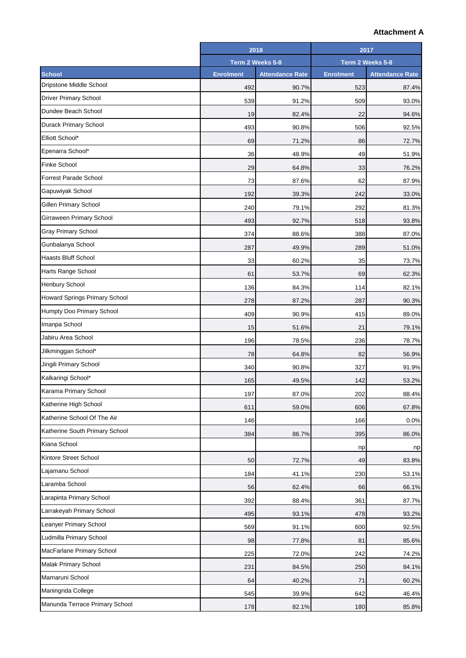## **Attachment A**

|                                      | 2018             |                        | 2017             |                        |
|--------------------------------------|------------------|------------------------|------------------|------------------------|
|                                      | Term 2 Weeks 5-8 |                        | Term 2 Weeks 5-8 |                        |
| <b>School</b>                        | <b>Enrolment</b> | <b>Attendance Rate</b> | <b>Enrolment</b> | <b>Attendance Rate</b> |
| Dripstone Middle School              | 492              | 90.7%                  | 523              | 87.4%                  |
| <b>Driver Primary School</b>         | 539              | 91.2%                  | 509              | 93.0%                  |
| Dundee Beach School                  | 19               | 82.4%                  | 22               | 94.6%                  |
| Durack Primary School                | 493              | 90.8%                  | 506              | 92.5%                  |
| Elliott School*                      | 69               | 71.2%                  | 86               | 72.7%                  |
| Epenarra School*                     | 36               | 48.9%                  | 49               | 51.9%                  |
| <b>Finke School</b>                  | 29               | 64.8%                  | 33               | 76.2%                  |
| <b>Forrest Parade School</b>         | 73               | 87.6%                  | 62               | 87.9%                  |
| Gapuwiyak School                     | 192              | 39.3%                  | 242              | 33.0%                  |
| Gillen Primary School                | 240              | 79.1%                  | 292              | 81.3%                  |
| Girraween Primary School             | 493              | 92.7%                  | 518              | 93.8%                  |
| <b>Gray Primary School</b>           | 374              | 88.6%                  | 388              | 87.0%                  |
| Gunbalanya School                    | 287              | 49.9%                  | 289              | 51.0%                  |
| <b>Haasts Bluff School</b>           | 33               | 60.2%                  | 35               | 73.7%                  |
| Harts Range School                   | 61               | 53.7%                  | 69               | 62.3%                  |
| <b>Henbury School</b>                | 136              | 84.3%                  | 114              | 82.1%                  |
| <b>Howard Springs Primary School</b> | 278              | 87.2%                  | 287              | 90.3%                  |
| Humpty Doo Primary School            | 409              | 90.9%                  | 415              | 89.0%                  |
| Imanpa School                        | 15               | 51.6%                  | 21               | 79.1%                  |
| Jabiru Area School                   | 196              | 78.5%                  | 236              | 78.7%                  |
| Jilkminggan School*                  | 78               | 64.8%                  | 82               | 56.9%                  |
| Jingili Primary School               | 340              | 90.8%                  | 327              | 91.9%                  |
| Kalkaringi School*                   | 165              | 49.5%                  | 142              | 53.2%                  |
| Karama Primary School                | 197              | 87.0%                  | 202              | 88.4%                  |
| Katherine High School                | 611              | 59.0%                  | 606              | 67.8%                  |
| Katherine School Of The Air          | 146              |                        | 166              | 0.0%                   |
| Katherine South Primary School       | 384              | 86.7%                  | 395              | 86.0%                  |
| Kiana School                         |                  |                        | np               | np                     |
| Kintore Street School                | 50               | 72.7%                  | 49               | 83.8%                  |
| Lajamanu School                      | 184              | 41.1%                  | 230              | 53.1%                  |
| Laramba School                       | 56               | 62.4%                  | 66               | 66.1%                  |
| Larapinta Primary School             | 392              | 88.4%                  | 361              | 87.7%                  |
| Larrakeyah Primary School            | 495              | 93.1%                  | 478              | 93.2%                  |
| Leanyer Primary School               | 569              | 91.1%                  | 600              | 92.5%                  |
| Ludmilla Primary School              | 98               | 77.8%                  | 81               | 85.6%                  |
| MacFarlane Primary School            | 225              | 72.0%                  | 242              | 74.2%                  |
| Malak Primary School                 | 231              | 84.5%                  | 250              | 84.1%                  |
| Mamaruni School                      | 64               | 40.2%                  | 71               | 60.2%                  |
| Maningrida College                   | 545              | 39.9%                  | 642              | 46.4%                  |
| Manunda Terrace Primary School       | 178              | 82.1%                  | 180              | 85.8%                  |
|                                      |                  |                        |                  |                        |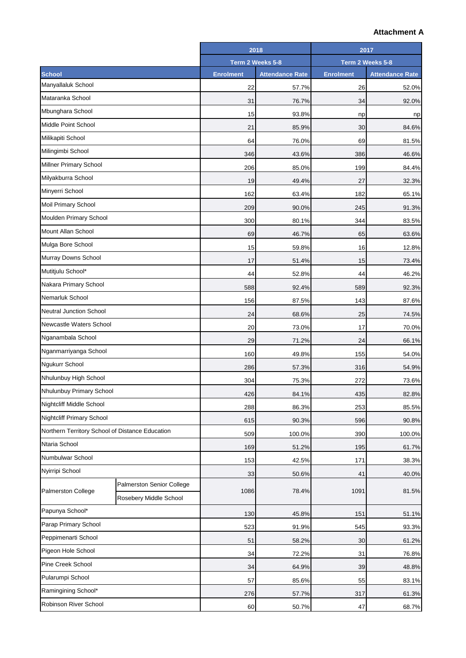## **Attachment A**

|                                                 |                           | 2018             |                        | 2017             |                        |
|-------------------------------------------------|---------------------------|------------------|------------------------|------------------|------------------------|
|                                                 |                           | Term 2 Weeks 5-8 |                        | Term 2 Weeks 5-8 |                        |
| <b>School</b>                                   |                           | <b>Enrolment</b> | <b>Attendance Rate</b> | <b>Enrolment</b> | <b>Attendance Rate</b> |
| Manyallaluk School                              |                           | 22               | 57.7%                  | 26               | 52.0%                  |
| Mataranka School                                |                           | 31               | 76.7%                  | 34               | 92.0%                  |
| Mbunghara School                                |                           | 15               | 93.8%                  | np               | np                     |
| Middle Point School                             |                           | 21               | 85.9%                  | 30               | 84.6%                  |
| Milikapiti School                               |                           | 64               | 76.0%                  | 69               | 81.5%                  |
| Milingimbi School                               |                           | 346              | 43.6%                  | 386              | 46.6%                  |
| Millner Primary School                          |                           | 206              | 85.0%                  | 199              | 84.4%                  |
| Milyakburra School                              |                           | 19               | 49.4%                  | 27               | 32.3%                  |
| Minyerri School                                 |                           | 162              | 63.4%                  | 182              | 65.1%                  |
| Moil Primary School                             |                           | 209              | 90.0%                  | 245              | 91.3%                  |
| Moulden Primary School                          |                           | 300              | 80.1%                  | 344              | 83.5%                  |
| Mount Allan School                              |                           | 69               | 46.7%                  | 65               | 63.6%                  |
| Mulga Bore School                               |                           | 15               | 59.8%                  | 16               | 12.8%                  |
| Murray Downs School                             |                           | 17               | 51.4%                  | 15               | 73.4%                  |
| Mutitjulu School*                               |                           | 44               | 52.8%                  | 44               | 46.2%                  |
| Nakara Primary School                           |                           | 588              | 92.4%                  | 589              | 92.3%                  |
| Nemarluk School                                 |                           | 156              | 87.5%                  | 143              | 87.6%                  |
| <b>Neutral Junction School</b>                  |                           | 24               | 68.6%                  | 25               | 74.5%                  |
| <b>Newcastle Waters School</b>                  |                           | 20               | 73.0%                  | 17               | 70.0%                  |
| Nganambala School                               |                           | 29               | 71.2%                  | 24               | 66.1%                  |
| Nganmarriyanga School                           |                           | 160              | 49.8%                  | 155              | 54.0%                  |
| Ngukurr School                                  |                           | 286              | 57.3%                  | 316              | 54.9%                  |
| Nhulunbuy High School                           |                           | 304              | 75.3%                  | 272              | 73.6%                  |
| Nhulunbuy Primary School                        |                           | 426              | 84.1%                  | 435              | 82.8%                  |
| Nightcliff Middle School                        |                           | 288              | 86.3%                  | 253              | 85.5%                  |
| <b>Nightcliff Primary School</b>                |                           | 615              | 90.3%                  | 596              | 90.8%                  |
| Northern Territory School of Distance Education |                           | 509              | 100.0%                 | 390              | 100.0%                 |
| Ntaria School                                   |                           | 169              | 51.2%                  | 195              | 61.7%                  |
| Numbulwar School                                |                           | 153              | 42.5%                  | 171              | 38.3%                  |
| Nyirripi School                                 |                           | 33               | 50.6%                  | 41               | 40.0%                  |
|                                                 | Palmerston Senior College |                  |                        |                  |                        |
| Palmerston College                              | Rosebery Middle School    | 1086             | 78.4%                  | 1091             | 81.5%                  |
| Papunya School*                                 |                           | 130              |                        | 151              |                        |
| Parap Primary School                            |                           |                  | 45.8%                  |                  | 51.1%                  |
| Peppimenarti School                             |                           | 523              | 91.9%                  | 545              | 93.3%                  |
| Pigeon Hole School                              |                           | 51               | 58.2%                  | 30               | 61.2%                  |
| Pine Creek School                               |                           | 34               | 72.2%                  | 31               | 76.8%                  |
| Pularumpi School                                |                           | 34               | 64.9%                  | 39               | 48.8%                  |
| Ramingining School*                             |                           | 57               | 85.6%                  | 55               | 83.1%                  |
| Robinson River School                           |                           | 276              | 57.7%                  | 317              | 61.3%                  |
|                                                 |                           | 60               | 50.7%                  | 47               | 68.7%                  |